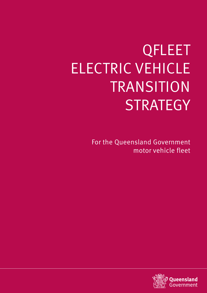# QFLEET ELECTRIC VEHICLE TRANSITION **STRATEGY**

For the Queensland Government motor vehicle fleet

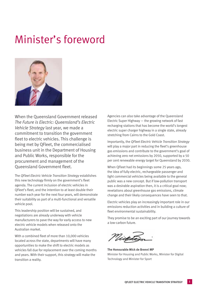# Minister's foreword



When the Queensland Government released *The Future is Electric: Queensland's Electric Vehicle Strategy* last year, we made a commitment to transition the government fleet to electric vehicles. This challenge is being met by QFleet, the commercialised business unit in the Department of Housing and Public Works, responsible for the procurement and management of the Queensland Government fleet.

The *QFleet Electric Vehicle Transition Strategy* establishes this new technology firmly on the government's fleet agenda. The current inclusion of electric vehicles in QFleet's fleet, and the intention to at least double their number each year for the next four years, will demonstrate their suitability as part of a multi-functional and versatile vehicle pool.

This leadership position will be sustained, and negotiations are already underway with vehicle manufacturers to pave the way for early access to new electric vehicle models when released onto the Australian market.

With a combined fleet of more than 10,000 vehicles located across the state, departments will have many opportunities to make the shift to electric models as vehicles fall due for replacement over the coming months and years. With their support, this strategy will make the transition a reality.

Agencies can also take advantage of the Queensland Electric Super Highway — the growing network of fast recharging stations that has become the world's longest electric super charger highway in a single state, already stretching from Cairns to the Gold Coast.

Importantly, the *QFleet Electric Vehicle Transition Strategy*  will play a major part in reducing the fleet's greenhouse gas emissions and contribute to the government's goal of achieving zero net emissions by 2050, supported by a 50 per cent renewable energy target for Queensland by 2030.

When QFleet had its beginnings some 25 years ago, the idea of fully electric, rechargeable passenger and light commercial vehicles being available to the general public was a new concept. But if low-pollution transport was a desirable aspiration then, it is a critical goal now; revelations about greenhouse gas emissions, climate change and their likely consequences have seen to that.

Electric vehicles play an increasingly important role in our emissions reduction activities and in building a culture of fleet environmental sustainability.

They promise to be an exciting part of our journey towards a low-carbon future.

**The Honourable Mick de Brenni MP** Minister for Housing and Public Works, Minister for Digital Technology and Minister for Sport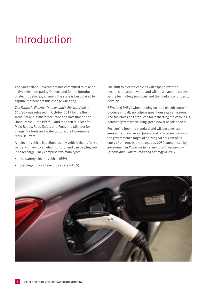# Introduction

The Queensland Government has committed to take an active role in preparing Queensland for the introduction of electric vehicles, ensuring the state is best placed to capture the benefits this change will bring.

*The Future is Electric: Queensland's Electric Vehicle Strategy* was released in October 2017 by the then Treasurer and Minister for Trade and Investment, the Honourable Curtis Pitt MP; and the then Minister for Main Roads, Road Safety and Ports and Minister for Energy, Biofuels and Water Supply, the Honourable Mark Bailey MP.

An electric vehicle is defined as any vehicle that is fully or partially driven by an electric motor and can be pluggedin to recharge. They comprise two main types:

- the battery electric vehicle (BEV)
- the plug-in hybrid electric vehicle (PHEV).

The shift to electric vehicles will expand over the next decade and beyond, and will be a dynamic process as the technology improves and the market continues to develop.

BEVs (and PHEVs when running on their electric motors) produce virtually no tailpipe greenhouse gas emissions. And the emissions produced for recharging the vehicles is potentially zero when using green power or solar power.

Recharging from the standard grid will become less emissions intensive as Queensland progresses towards the government's target of deriving 50 per cent of its energy from renewable sources by 2030, announced by government in *Pathways to a clean growth economy – Queensland Climate Transition Strategy in 2017*.

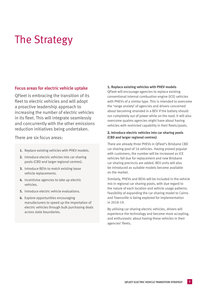# The Strategy

# **Focus areas for electric vehicle uptake**

QFleet is embracing the transition of its fleet to electric vehicles and will adopt a proactive leadership approach to increasing the number of electric vehicles in its fleet. This will integrate seamlessly and concurrently with the other emissions reduction initiatives being undertaken.

There are six focus areas:

- **1.** Replace existing vehicles with PHEV models.
- **2.** Introduce electric vehicles into car sharing pools (CBD and larger regional centres).
- **3.** Introduce BEVs to match existing lease vehicle replacements.
- **4.** Incentivise agencies to take up electric vehicles.
- **5.** Introduce electric vehicle evaluations.
- **6.** Explore opportunities encouraging manufacturers to speed up the importation of electric vehicles through bulk purchasing deals across state boundaries.

#### **1. Replace existing vehicles with PHEV models**

QFleet will encourage agencies to replace existing conventional internal combustion engine (ICE) vehicles with PHEVs of a similar type. This is intended to overcome the 'range anxiety' of agencies and drivers concerned about becoming stranded in a BEV if the battery should run completely out of power while on the road. It will also overcome qualms agencies might have about having vehicles with restricted capability in their fleets/pools.

### **2. Introduce electric vehicles into car sharing pools (CBD and larger regional centres)**

There are already three PHEVs in QFleet's Brisbane CBD car sharing pool of 16 vehicles. Having proved popular with customers, the number will be increased as ICE vehicles fall due for replacement and new Brisbane car sharing precincts are added. BEV units will also be introduced as suitable models become available on the market.

Similarly, PHEVs and BEVs will be included in the vehicle mix in regional car sharing pools, with due regard to the nature of each location and vehicle usage patterns. Feasibility of expanding the car sharing model to Cairns and Townsville is being explored for implementation in 2018-19.

By utilising car sharing electric vehicles, drivers will experience the technology and become more accepting, and enthusiastic about having these vehicles in their agencies' fleets.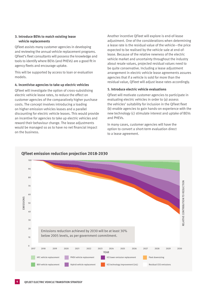#### **3. Introduce BEVs to match existing lease vehicle replacements**

QFleet assists many customer agencies in developing and reviewing the annual vehicle replacement programs. QFleet's fleet consultants will possess the knowledge and tools to identify where BEVs (and PHEVs) are a good fit in agency fleets and encourage uptake.

This will be supported by access to loan or evaluation models.

#### **4. Incentivise agencies to take up electric vehicles**

QFleet will investigate the option of cross-subsidising electric vehicle lease rates, to reduce the effect on customer agencies of the comparatively higher purchase costs. The concept involves introducing a loading on higher emission vehicles leases and a parallel discounting for electric vehicle leases. This would provide an incentive for agencies to take up electric vehicles and reward their behaviour change. The lease adjustments would be managed so as to have no net financial impact on the business.

Another incentive QFleet will explore is end-of-lease adjustment. One of the considerations when determining a lease rate is the residual value of the vehicle—the price expected to be realised by the vehicle sale at end-oflease. Because of the relative newness of the electric vehicle market and uncertainty throughout the industry about resale values, projected residual values need to be quite conservative. Including a lease adjustment arrangement in electric vehicle lease agreements assures agencies that if a vehicle is sold for more than the residual value, QFleet will adjust lease rates accordingly.

#### **5. Introduce electric vehicle evaluations**

QFleet will motivate customer agencies to participate in evaluating electric vehicles in order to (a) assess the vehicles' suitability for inclusion in the QFleet fleet (b) enable agencies to gain hands-on experience with the new technology (c) stimulate interest and uptake of BEVs and PHEVs.

In many cases, customer agencies will have the option to convert a short-term evaluation direct to a lease agreement.

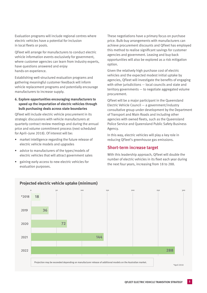Evaluation programs will include regional centres where electric vehicles have a potential for inclusion in local fleets or pools.

QFleet will arrange for manufacturers to conduct electric vehicle information events exclusively for government, where customer agencies can learn from industry experts, have questions answered and enjoy hands-on experience.

Establishing well-structured evaluation programs and gathering meaningful customer feedback will inform vehicle replacement programs and potentially encourage manufacturers to increase supply.

### **6. Explore opportunities encouraging manufacturers to speed up the importation of electric vehicles through bulk purchasing deals across state boundaries**

QFleet will include electric vehicle procurement in its strategic discussions with vehicle manufacturers at quarterly contract review meetings and during the annual price and volume commitment process (next scheduled for April–June 2018). Of interest will be:

- market intelligence regarding the future release of electric vehicle models and upgrades
- advice to manufacturers of the types/models of electric vehicles that will attract government sales
- gaining early access to new electric vehicles for evaluation purposes.

These negotiations have a primary focus on purchase price. Bulk-buy arrangements with manufacturers can achieve procurement discounts and QFleet has employed this method to realise significant savings for customer agencies and government. Leasing and buy-back opportunities will also be explored as a risk mitigation option.

Given the relatively high purchase cost of electric vehicles and the expected modest initial uptake by agencies, QFleet will investigate the benefits of engaging with other jurisdictions – local councils and state and territory governments — to negotiate aggregated volume procurement.

QFleet will be a major participant in the Queensland Electric Vehicle Council — a government/industry consultative group under development by the Department of Transport and Main Roads and including other agencies with owned fleets, such as the Queensland Police Service and Queensland Public Safety Business Agency.

In this way, electric vehicles will play a key role in reducing QFleet's greenhouse gas emissions.

# **Short-term increase target**

With this leadership approach, QFleet will double the number of electric vehicles in its fleet each year during the next four years, increasing from 18 to 288.



# PROJECTED ELECTRIC VEHICLE UPTAKE (MINIMUM) **Projected electric vehicle uptake (minimum)**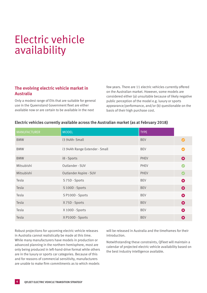# Electric vehicle availability

# **The evolving electric vehicle market in Australia**

Only a modest range of EVs that are suitable for general use in the Queensland Government fleet are either available now or are certain to be available in the next

few years. There are 11 electric vehicles currently offered on the Australian market. However, some models are considered either (a) unsuitable because of likely negative public perception of the model e.g. luxury or sports appearance/performance, and/or (b) questionable on the basis of their high purchase cost.

| <b>MANUFACTURER</b> | <b>MODEL</b>                   | <b>TYPE</b> |           |
|---------------------|--------------------------------|-------------|-----------|
| <b>BMW</b>          | i3 94Ah-Small                  | <b>BEV</b>  | $\bullet$ |
| <b>BMW</b>          | i3 94Ah Range Extender - Small | <b>BEV</b>  |           |
| <b>BMW</b>          | i8 - Sports                    | <b>PHEV</b> | ⊗         |
| Mitsubishi          | Outlander - SUV                | <b>PHEV</b> |           |
| Mitsubishi          | Outlander Aspire - SUV         | <b>PHEV</b> |           |
| Tesla               | S 75D - Sports                 | <b>BEV</b>  | 0         |
| Tesla               | S 100D - Sports                | <b>BEV</b>  | 0         |
| Tesla               | S P100D - Sports               | <b>BEV</b>  | 0         |
| Tesla               | X 75D - Sports                 | <b>BEV</b>  | ❸         |
| Tesla               | X 100D - Sports                | <b>BEV</b>  | 0         |
| Tesla               | X P100D - Sports               | <b>BEV</b>  | ⊗         |

### **Electric vehicles currently available across the Australian market (as at February 2018)**

Robust projections for upcoming electric vehicle releases in Australia cannot realistically be made at this time. While many manufacturers have models in production or advanced planning in the northern hemisphere, most are only being produced in left-hand-drive format while others are in the luxury or sports car categories. Because of this and for reasons of commercial sensitivity, manufacturers are unable to make firm commitments as to which models

will be released in Australia and the timeframes for their introduction.

Notwithstanding these constraints, QFleet will maintain a calendar of projected electric vehicle availability based on the best industry intelligence available.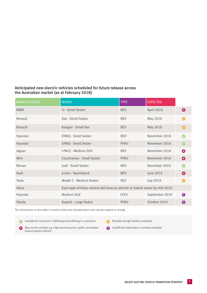# **Anticipated new electric vehicles scheduled for future release across the Australian market (as at February 2018)**

| <b>MANUFACTURER</b> | <b>MODEL</b>                                                                  | <b>TYPE</b> | <b>EXPECTED</b> |                       |
|---------------------|-------------------------------------------------------------------------------|-------------|-----------------|-----------------------|
| <b>BMW</b>          | i3 - Small Sedan                                                              | <b>BEV</b>  | April 2018      | ⊗                     |
| Renault             | Zoe - Small Sedan                                                             | <b>BEV</b>  | May 2018        | $\boldsymbol{\sigma}$ |
| Renault             | Kangoo - Small Van                                                            | <b>BEV</b>  | May 2018        | Ø                     |
| Hyundai             | IONIQ - Small Sedan                                                           | <b>BEV</b>  | November 2018   |                       |
| Hyundai             | <b>IONIQ - Small Sedan</b>                                                    | <b>PHEV</b> | November 2018   |                       |
| Jaguar              | I-PACE - Medium SUV                                                           | <b>BEV</b>  | November 2018   | ⊗                     |
| Mini                | Countryman - Small Sedan                                                      | <b>PHEV</b> | November 2018   | ⊗                     |
| <b>Nissan</b>       | Leaf - Small Sedan                                                            | <b>BEV</b>  | December 2018   |                       |
| Audi                | e-tron - Sportsback                                                           | <b>BEV</b>  | June 2019       | ⊗                     |
| Tesla               | Model 3 - Medium Sedan                                                        | <b>BEV</b>  | July 2019       |                       |
| Volvo               | Each type of Volvo vehicle will have an electric or hybrid motor by mid-2019. |             |                 |                       |
| Hyundai             | Medium SUV                                                                    | <b>FCEV</b> | September 2019  | $\boldsymbol{\Omega}$ |
| Skoda               | Superb - Large Sedan                                                          | <b>PHEV</b> | October 2019    | 2                     |

The information in this table is current at the time of publication and may be subject to change.

Suitable for inclusion in QFleet general offering to customers Possible though limited suitability

May not be suitable e.g. high purchase price, public perception (luxury/sports vehicle)

**2** Insufficient information currently available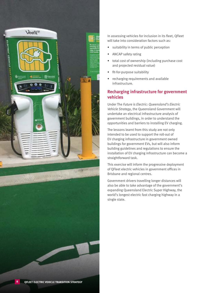

In assessing vehicles for inclusion in its fleet, QFleet will take into consideration factors such as:

- suitability in terms of public perception
- ANCAP safety rating
- total cost of ownership (including purchase cost and projected residual value)
- fit-for-purpose suitability
- recharging requirements and available infrastructure.

# **Recharging infrastructure for government vehicles**

Under The *Future is Electric: Queensland's Electric Vehicle Strategy*, the Queensland Government will undertake an electrical infrastructure analysis of government buildings, in order to understand the opportunities and barriers to installing EV charging.

The lessons learnt from this study are not only intended to be used to support the roll-out of EV charging infrastructure in government owned buildings for government EVs, but will also inform building guidelines and regulations to ensure the installation of EV charging infrastructure can become a straightforward task.

This exercise will inform the progressive deployment of QFleet electric vehicles in government offices in Brisbane and regional centres.

Government drivers travelling longer distances will also be able to take advantage of the government's expanding Queensland Electric Super Highway, the world's longest electric fast charging highway in a single state.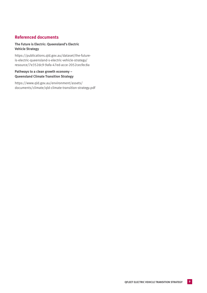# **Referenced documents**

## **The Future is Electric: Queensland's Electric Vehicle Strategy**

[https://publications.qld.gov.au/dataset/the-future](https://publications.qld.gov.au/dataset/the-future-is-electric-queensland-s-electric-vehicle-strategy/resource/7e352dc9-9afa-47ed-acce-2052cecfec8a)[is-electric-queensland-s-electric-vehicle-strategy/](https://publications.qld.gov.au/dataset/the-future-is-electric-queensland-s-electric-vehicle-strategy/resource/7e352dc9-9afa-47ed-acce-2052cecfec8a) [resource/7e352dc9-9afa-47ed-acce-2052cecfec8a](https://publications.qld.gov.au/dataset/the-future-is-electric-queensland-s-electric-vehicle-strategy/resource/7e352dc9-9afa-47ed-acce-2052cecfec8a)

### **Pathways to a clean growth economy – Queensland Climate Transition Strategy**

[https://www.qld.gov.au/environment/assets/](https://www.qld.gov.au/environment/assets/documents/climate/qld-climate-transition-strategy.pdf) [documents/climate/qld-climate-transition-strategy.pdf](https://www.qld.gov.au/environment/assets/documents/climate/qld-climate-transition-strategy.pdf)